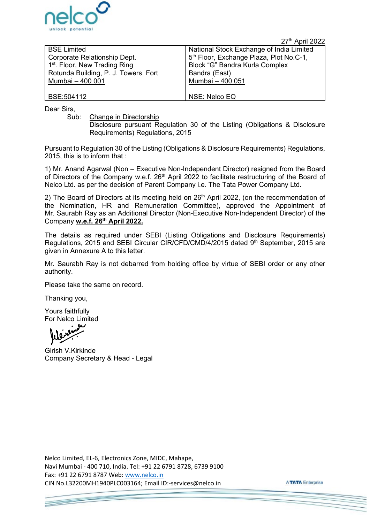

27<sup>th</sup> April 2022

| <b>BSE Limited</b>                        | National Stock Exchange of India Limited            |
|-------------------------------------------|-----------------------------------------------------|
| Corporate Relationship Dept.              | 5 <sup>th</sup> Floor, Exchange Plaza, Plot No.C-1, |
| 1 <sup>st</sup> . Floor, New Trading Ring | Block "G" Bandra Kurla Complex                      |
| Rotunda Building, P. J. Towers, Fort      | Bandra (East)                                       |
| Mumbai - 400 001                          | Mumbai - 400 051                                    |
|                                           |                                                     |
| BSE:504112                                | NSE: Nelco EQ                                       |

Dear Sirs,

Sub: Change in Directorship

Disclosure pursuant Regulation 30 of the Listing (Obligations & Disclosure Requirements) Regulations, 2015

Pursuant to Regulation 30 of the Listing (Obligations & Disclosure Requirements) Regulations, 2015, this is to inform that :

1) Mr. Anand Agarwal (Non – Executive Non-Independent Director) resigned from the Board of Directors of the Company w.e.f. 26<sup>th</sup> April 2022 to facilitate restructuring of the Board of Nelco Ltd. as per the decision of Parent Company i.e. The Tata Power Company Ltd.

2) The Board of Directors at its meeting held on 26<sup>th</sup> April 2022, (on the recommendation of the Nomination, HR and Remuneration Committee), approved the Appointment of Mr. Saurabh Ray as an Additional Director (Non-Executive Non-Independent Director) of the Company **w.e.f. 26th April 2022.**

The details as required under SEBI (Listing Obligations and Disclosure Requirements) Regulations, 2015 and SEBI Circular CIR/CFD/CMD/4/2015 dated 9<sup>th</sup> September, 2015 are given in Annexure A to this letter.

Mr. Saurabh Ray is not debarred from holding office by virtue of SEBI order or any other authority.

Please take the same on record.

Thanking you,

Yours faithfully For Nelco Limited

Girish V.Kirkinde Company Secretary & Head - Legal

Nelco Limited, EL-6, Electronics Zone, MIDC, Mahape, Navi Mumbai - 400 710, India. Tel: +91 22 6791 8728, 6739 9100 Fax: +91 22 6791 8787 Web: [www.nelco.in](http://www.nelco.in/)  CIN No.L32200MH1940PLC003164; Email ID:-services@nelco.in

**ATATA Enterprise**